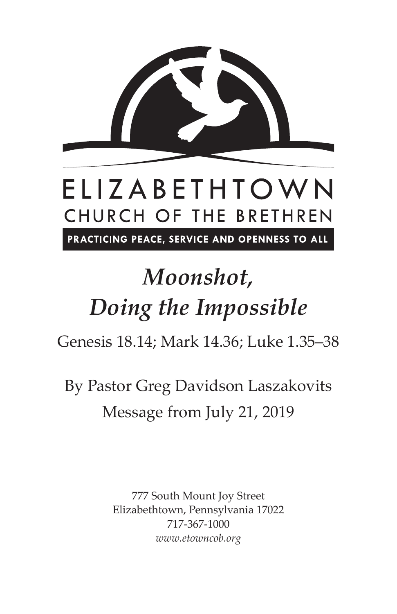

## ELIZABETHTOWN CHURCH OF THE BRETHREN

PRACTICING PEACE, SERVICE AND OPENNESS TO ALL

# *Moonshot, Doing the Impossible*

Genesis 18.14; Mark 14.36; Luke 1.35–38

By Pastor Greg Davidson Laszakovits Message from July 21, 2019

> 777 South Mount Joy Street Elizabethtown, Pennsylvania 17022 717-367-1000 *www.etowncob.org*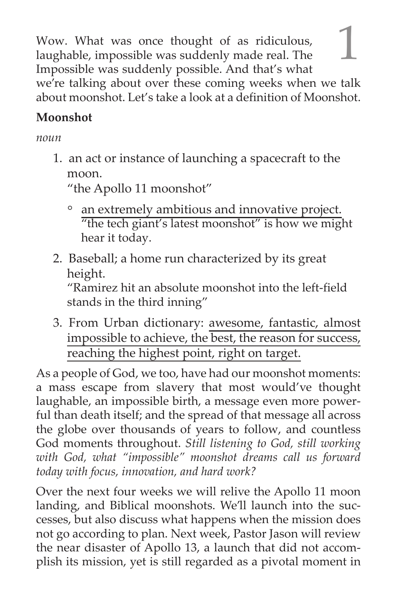Wow. What was once thought of as ridiculous, laughable, impossible was suddenly made real. The Impossible was suddenly possible. And that's what we're talking about over these coming weeks when we talk about moonshot. Let's take a look at a definition of Moonshot.

#### **Moonshot**

#### *noun*

1. an act or instance of launching a spacecraft to the moon.

"the Apollo 11 moonshot"

- an extremely ambitious and innovative project. "the tech giant's latest moonshot" is how we might hear it today.
- 2. Baseball; a home run characterized by its great height.

"Ramirez hit an absolute moonshot into the left-field stands in the third inning"

3. From Urban dictionary: awesome, fantastic, almost impossible to achieve, the best, the reason for success, reaching the highest point, right on target.

As a people of God, we too, have had our moonshot moments: a mass escape from slavery that most would've thought laughable, an impossible birth, a message even more powerful than death itself; and the spread of that message all across the globe over thousands of years to follow, and countless God moments throughout. *Still listening to God, still working with God, what "impossible" moonshot dreams call us forward today with focus, innovation, and hard work?*

Over the next four weeks we will relive the Apollo 11 moon landing, and Biblical moonshots. We'll launch into the successes, but also discuss what happens when the mission does not go according to plan. Next week, Pastor Jason will review the near disaster of Apollo 13, a launch that did not accomplish its mission, yet is still regarded as a pivotal moment in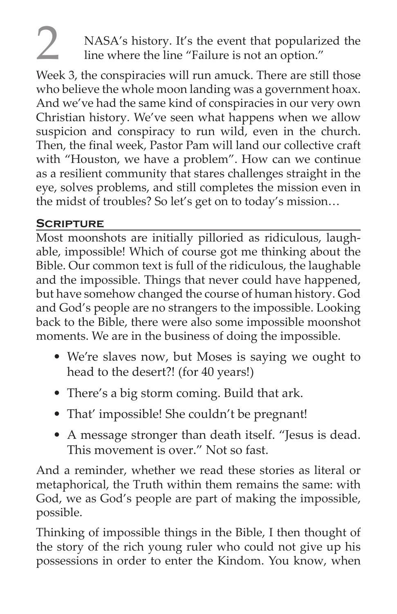### 2 NASA's history. It's the event that popularized the line where the line "Failure is not an option."

Week 3, the conspiracies will run amuck. There are still those who believe the whole moon landing was a government hoax. And we've had the same kind of conspiracies in our very own Christian history. We've seen what happens when we allow suspicion and conspiracy to run wild, even in the church. Then, the final week, Pastor Pam will land our collective craft with "Houston, we have a problem". How can we continue as a resilient community that stares challenges straight in the eye, solves problems, and still completes the mission even in the midst of troubles? So let's get on to today's mission…

#### **Scripture**

Most moonshots are initially pilloried as ridiculous, laughable, impossible! Which of course got me thinking about the Bible. Our common text is full of the ridiculous, the laughable and the impossible. Things that never could have happened, but have somehow changed the course of human history. God and God's people are no strangers to the impossible. Looking back to the Bible, there were also some impossible moonshot moments. We are in the business of doing the impossible.

- We're slaves now, but Moses is saying we ought to head to the desert?! (for 40 years!)
- There's a big storm coming. Build that ark.
- That' impossible! She couldn't be pregnant!
- A message stronger than death itself. "Jesus is dead. This movement is over." Not so fast.

And a reminder, whether we read these stories as literal or metaphorical, the Truth within them remains the same: with God, we as God's people are part of making the impossible, possible.

Thinking of impossible things in the Bible, I then thought of the story of the rich young ruler who could not give up his possessions in order to enter the Kindom. You know, when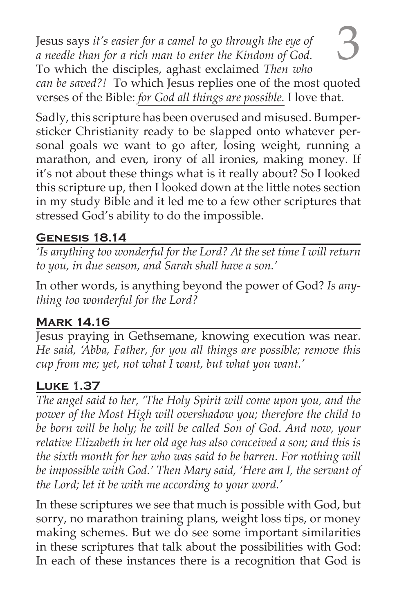3 Jesus says *it's easier for a camel to go through the eye of a needle than for a rich man to enter the Kindom of God.* To which the disciples, aghast exclaimed *Then who can be saved?!* To which Jesus replies one of the most quoted verses of the Bible: *for God all things are possible.* I love that.

Sadly, this scripture has been overused and misused. Bumpersticker Christianity ready to be slapped onto whatever personal goals we want to go after, losing weight, running a marathon, and even, irony of all ironies, making money. If it's not about these things what is it really about? So I looked this scripture up, then I looked down at the little notes section in my study Bible and it led me to a few other scriptures that stressed God's ability to do the impossible.

#### **Genesis 18.14**

*'Is anything too wonderful for the Lord? At the set time I will return to you, in due season, and Sarah shall have a son.'*

In other words, is anything beyond the power of God? *Is anything too wonderful for the Lord?*

#### **Mark 14.16**

Jesus praying in Gethsemane, knowing execution was near. *He said, 'Abba, Father, for you all things are possible; remove this cup from me; yet, not what I want, but what you want.'*

#### **Luke 1.37**

*The angel said to her, 'The Holy Spirit will come upon you, and the power of the Most High will overshadow you; therefore the child to be born will be holy; he will be called Son of God. And now, your*  relative Elizabeth in her old age has also conceived a son; and this is *the sixth month for her who was said to be barren. For nothing will be impossible with God.' Then Mary said, 'Here am I, the servant of the Lord; let it be with me according to your word.'* 

In these scriptures we see that much is possible with God, but sorry, no marathon training plans, weight loss tips, or money making schemes. But we do see some important similarities in these scriptures that talk about the possibilities with God: In each of these instances there is a recognition that God is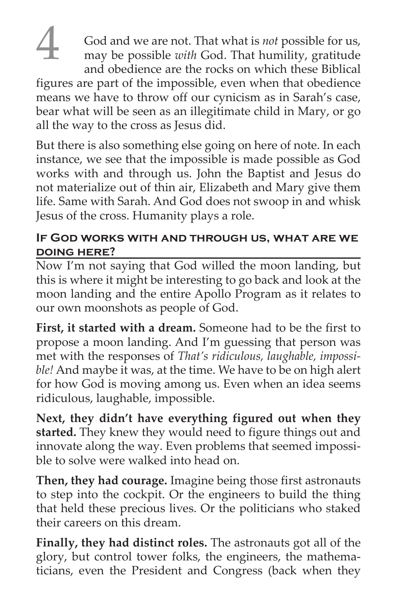4 God and we are not. That what is *not* possible for us, may be possible *with* God. That humility, gratitude and obedience are the rocks on which these Biblical figures are part of the impossible, even when that obedience means we have to throw off our cynicism as in Sarah's case, bear what will be seen as an illegitimate child in Mary, or go all the way to the cross as Jesus did.

But there is also something else going on here of note. In each instance, we see that the impossible is made possible as God works with and through us. John the Baptist and Jesus do not materialize out of thin air, Elizabeth and Mary give them life. Same with Sarah. And God does not swoop in and whisk Jesus of the cross. Humanity plays a role.

#### **If God works with and through us, what are we doing here?**

Now I'm not saying that God willed the moon landing, but this is where it might be interesting to go back and look at the moon landing and the entire Apollo Program as it relates to our own moonshots as people of God.

**First, it started with a dream.** Someone had to be the first to propose a moon landing. And I'm guessing that person was met with the responses of *That's ridiculous, laughable, impossible!* And maybe it was, at the time. We have to be on high alert for how God is moving among us. Even when an idea seems ridiculous, laughable, impossible.

**Next, they didn't have everything figured out when they started.** They knew they would need to figure things out and innovate along the way. Even problems that seemed impossible to solve were walked into head on.

**Then, they had courage.** Imagine being those first astronauts to step into the cockpit. Or the engineers to build the thing that held these precious lives. Or the politicians who staked their careers on this dream.

**Finally, they had distinct roles.** The astronauts got all of the glory, but control tower folks, the engineers, the mathematicians, even the President and Congress (back when they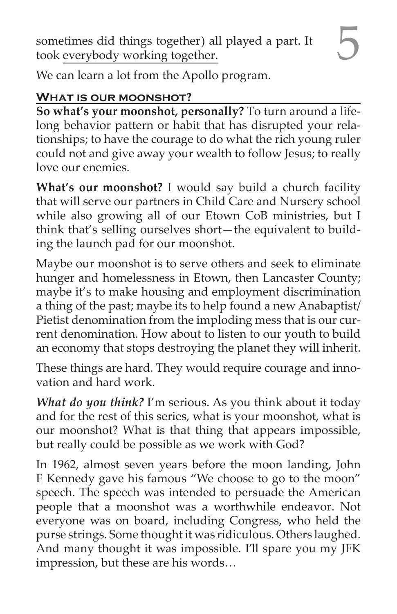sometimes did things together) all played a part. It took everybody working together.

We can learn a lot from the Apollo program.

#### **What is our moonshot?**

**So what's your moonshot, personally?** To turn around a lifelong behavior pattern or habit that has disrupted your relationships; to have the courage to do what the rich young ruler could not and give away your wealth to follow Jesus; to really love our enemies.

**What's our moonshot?** I would say build a church facility that will serve our partners in Child Care and Nursery school while also growing all of our Etown CoB ministries, but I think that's selling ourselves short—the equivalent to building the launch pad for our moonshot.

Maybe our moonshot is to serve others and seek to eliminate hunger and homelessness in Etown, then Lancaster County; maybe it's to make housing and employment discrimination a thing of the past; maybe its to help found a new Anabaptist/ Pietist denomination from the imploding mess that is our current denomination. How about to listen to our youth to build an economy that stops destroying the planet they will inherit.

These things are hard. They would require courage and innovation and hard work.

*What do you think?* I'm serious. As you think about it today and for the rest of this series, what is your moonshot, what is our moonshot? What is that thing that appears impossible, but really could be possible as we work with God?

In 1962, almost seven years before the moon landing, John F Kennedy gave his famous "We choose to go to the moon" speech. The speech was intended to persuade the American people that a moonshot was a worthwhile endeavor. Not everyone was on board, including Congress, who held the purse strings. Some thought it was ridiculous. Others laughed. And many thought it was impossible. I'll spare you my JFK impression, but these are his words…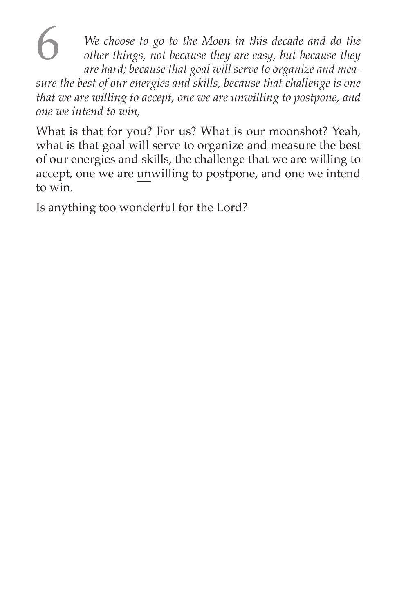**6** We choose to go to the Moon in this decade and do the other things, not because they are easy, but because they are hard: hecause that  $\cos \frac{1}{2}$  will serve to organize and mea *other things, not because they are easy, but because they are hard; because that goal will serve to organize and measure the best of our energies and skills, because that challenge is one that we are willing to accept, one we are unwilling to postpone, and one we intend to win,*

What is that for you? For us? What is our moonshot? Yeah, what is that goal will serve to organize and measure the best of our energies and skills, the challenge that we are willing to accept, one we are unwilling to postpone, and one we intend to win.

Is anything too wonderful for the Lord?